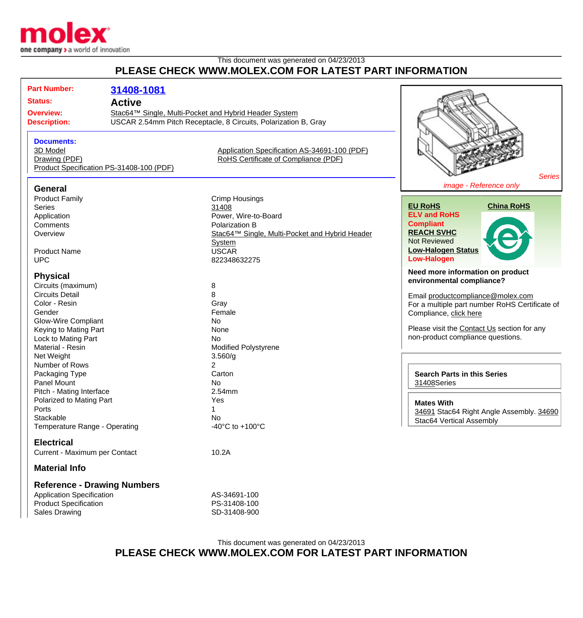

## This document was generated on 04/23/2013 **PLEASE CHECK WWW.MOLEX.COM FOR LATEST PART INFORMATION**

| <b>Part Number:</b>                     | 31408-1081                               |                                                                 |                                                |
|-----------------------------------------|------------------------------------------|-----------------------------------------------------------------|------------------------------------------------|
| <b>Status:</b>                          | <b>Active</b>                            |                                                                 |                                                |
| <b>Overview:</b><br><b>Description:</b> |                                          | Stac64™ Single, Multi-Pocket and Hybrid Header System           |                                                |
|                                         |                                          | USCAR 2.54mm Pitch Receptacle, 8 Circuits, Polarization B, Gray |                                                |
|                                         |                                          |                                                                 |                                                |
| <b>Documents:</b>                       |                                          |                                                                 |                                                |
| 3D Model                                |                                          | Application Specification AS-34691-100 (PDF)                    |                                                |
| Drawing (PDF)                           |                                          | RoHS Certificate of Compliance (PDF)                            |                                                |
|                                         | Product Specification PS-31408-100 (PDF) |                                                                 |                                                |
|                                         |                                          |                                                                 | <b>Series</b>                                  |
| <b>General</b>                          |                                          |                                                                 | image - Reference only                         |
| <b>Product Family</b>                   |                                          | <b>Crimp Housings</b>                                           |                                                |
| <b>Series</b>                           |                                          | 31408                                                           | <b>EU RoHS</b><br><b>China RoHS</b>            |
| Application                             |                                          | Power, Wire-to-Board                                            | <b>ELV and RoHS</b>                            |
| Comments                                |                                          | Polarization B                                                  | <b>Compliant</b>                               |
| Overview                                |                                          | Stac64™ Single, Multi-Pocket and Hybrid Header                  | <b>REACH SVHC</b>                              |
|                                         |                                          | <b>System</b>                                                   | <b>Not Reviewed</b>                            |
| <b>Product Name</b>                     |                                          | <b>USCAR</b>                                                    | <b>Low-Halogen Status</b>                      |
| <b>UPC</b>                              |                                          | 822348632275                                                    | <b>Low-Halogen</b>                             |
| <b>Physical</b>                         |                                          | Need more information on product                                |                                                |
| Circuits (maximum)                      |                                          | 8                                                               | environmental compliance?                      |
| <b>Circuits Detail</b>                  |                                          | 8                                                               | Email productcompliance@molex.com              |
| Color - Resin                           |                                          | Gray                                                            | For a multiple part number RoHS Certificate of |
| Gender                                  |                                          | Female                                                          | Compliance, click here                         |
| <b>Glow-Wire Compliant</b>              |                                          | <b>No</b>                                                       |                                                |
| Keying to Mating Part                   |                                          | None                                                            | Please visit the Contact Us section for any    |
| Lock to Mating Part                     |                                          | <b>No</b>                                                       | non-product compliance questions.              |
| Material - Resin                        |                                          | <b>Modified Polystyrene</b>                                     |                                                |
| Net Weight                              |                                          | 3.560/g                                                         |                                                |
| Number of Rows                          |                                          | $\overline{2}$                                                  |                                                |
| Packaging Type                          |                                          | Carton                                                          | <b>Search Parts in this Series</b>             |
| Panel Mount                             |                                          | No                                                              | 31408Series                                    |
| Pitch - Mating Interface                |                                          | 2.54mm                                                          |                                                |
| Polarized to Mating Part                |                                          | Yes                                                             | <b>Mates With</b>                              |
| Ports                                   |                                          | $\mathbf 1$                                                     | 34691 Stac64 Right Angle Assembly. 34690       |
| Stackable                               |                                          | No                                                              | Stac64 Vertical Assembly                       |
| Temperature Range - Operating           |                                          | -40 $^{\circ}$ C to +100 $^{\circ}$ C                           |                                                |
| <b>Electrical</b>                       |                                          |                                                                 |                                                |
| Current - Maximum per Contact           |                                          | 10.2A                                                           |                                                |
| <b>Material Info</b>                    |                                          |                                                                 |                                                |
|                                         | <b>Reference - Drawing Numbers</b>       |                                                                 |                                                |
| <b>Application Specification</b>        |                                          | AS-34691-100                                                    |                                                |
| <b>Product Specification</b>            |                                          | PS-31408-100                                                    |                                                |

## This document was generated on 04/23/2013 **PLEASE CHECK WWW.MOLEX.COM FOR LATEST PART INFORMATION**

Sales Drawing Sales Drawing SD-31408-900